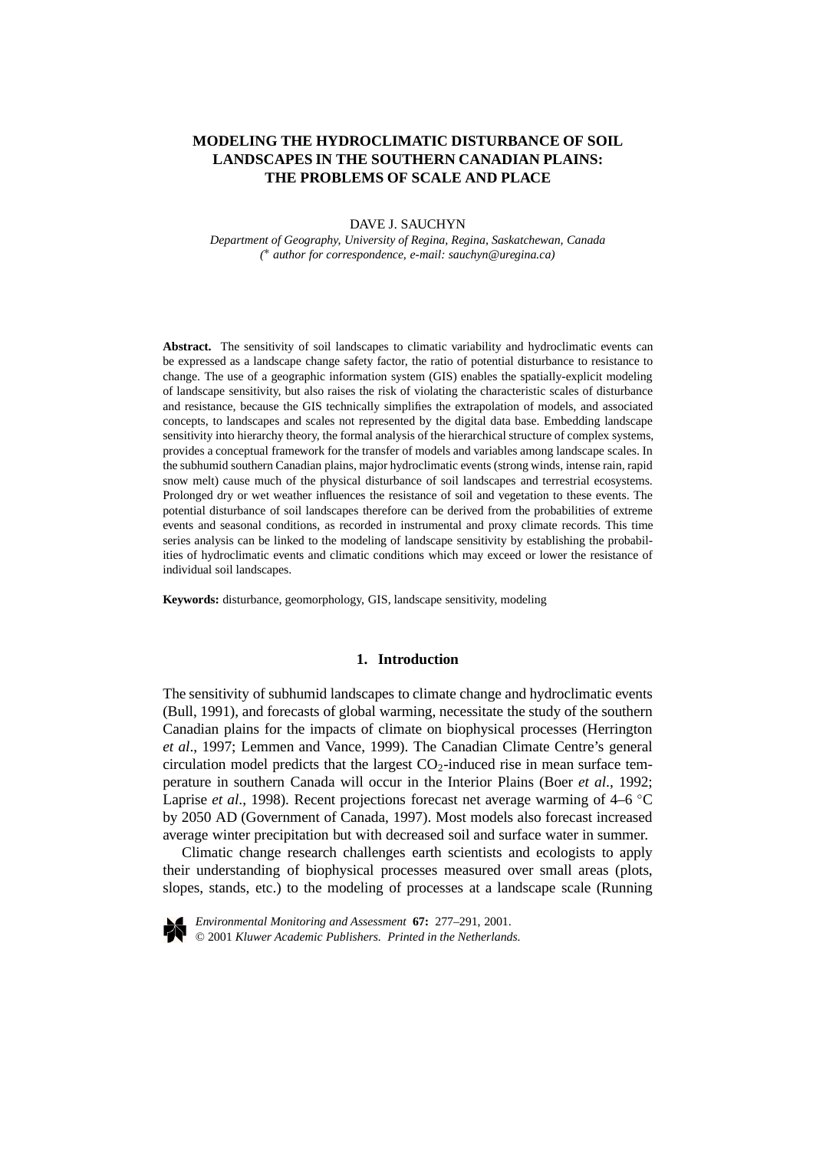# **MODELING THE HYDROCLIMATIC DISTURBANCE OF SOIL LANDSCAPES IN THE SOUTHERN CANADIAN PLAINS: THE PROBLEMS OF SCALE AND PLACE**

#### DAVE J. SAUCHYN

*Department of Geography, University of Regina, Regina, Saskatchewan, Canada (* ∗ *author for correspondence, e-mail: sauchyn@uregina.ca)*

**Abstract.** The sensitivity of soil landscapes to climatic variability and hydroclimatic events can be expressed as a landscape change safety factor, the ratio of potential disturbance to resistance to change. The use of a geographic information system (GIS) enables the spatially-explicit modeling of landscape sensitivity, but also raises the risk of violating the characteristic scales of disturbance and resistance, because the GIS technically simplifies the extrapolation of models, and associated concepts, to landscapes and scales not represented by the digital data base. Embedding landscape sensitivity into hierarchy theory, the formal analysis of the hierarchical structure of complex systems, provides a conceptual framework for the transfer of models and variables among landscape scales. In the subhumid southern Canadian plains, major hydroclimatic events (strong winds, intense rain, rapid snow melt) cause much of the physical disturbance of soil landscapes and terrestrial ecosystems. Prolonged dry or wet weather influences the resistance of soil and vegetation to these events. The potential disturbance of soil landscapes therefore can be derived from the probabilities of extreme events and seasonal conditions, as recorded in instrumental and proxy climate records. This time series analysis can be linked to the modeling of landscape sensitivity by establishing the probabilities of hydroclimatic events and climatic conditions which may exceed or lower the resistance of individual soil landscapes.

**Keywords:** disturbance, geomorphology, GIS, landscape sensitivity, modeling

### **1. Introduction**

The sensitivity of subhumid landscapes to climate change and hydroclimatic events (Bull, 1991), and forecasts of global warming, necessitate the study of the southern Canadian plains for the impacts of climate on biophysical processes (Herrington *et al*., 1997; Lemmen and Vance, 1999). The Canadian Climate Centre's general circulation model predicts that the largest  $CO<sub>2</sub>$ -induced rise in mean surface temperature in southern Canada will occur in the Interior Plains (Boer *et al*., 1992; Laprise *et al.*, 1998). Recent projections forecast net average warming of 4–6 °C by 2050 AD (Government of Canada, 1997). Most models also forecast increased average winter precipitation but with decreased soil and surface water in summer.

Climatic change research challenges earth scientists and ecologists to apply their understanding of biophysical processes measured over small areas (plots, slopes, stands, etc.) to the modeling of processes at a landscape scale (Running



*Environmental Monitoring and Assessment* **67:** 277–291, 2001. © 2001 *Kluwer Academic Publishers. Printed in the Netherlands.*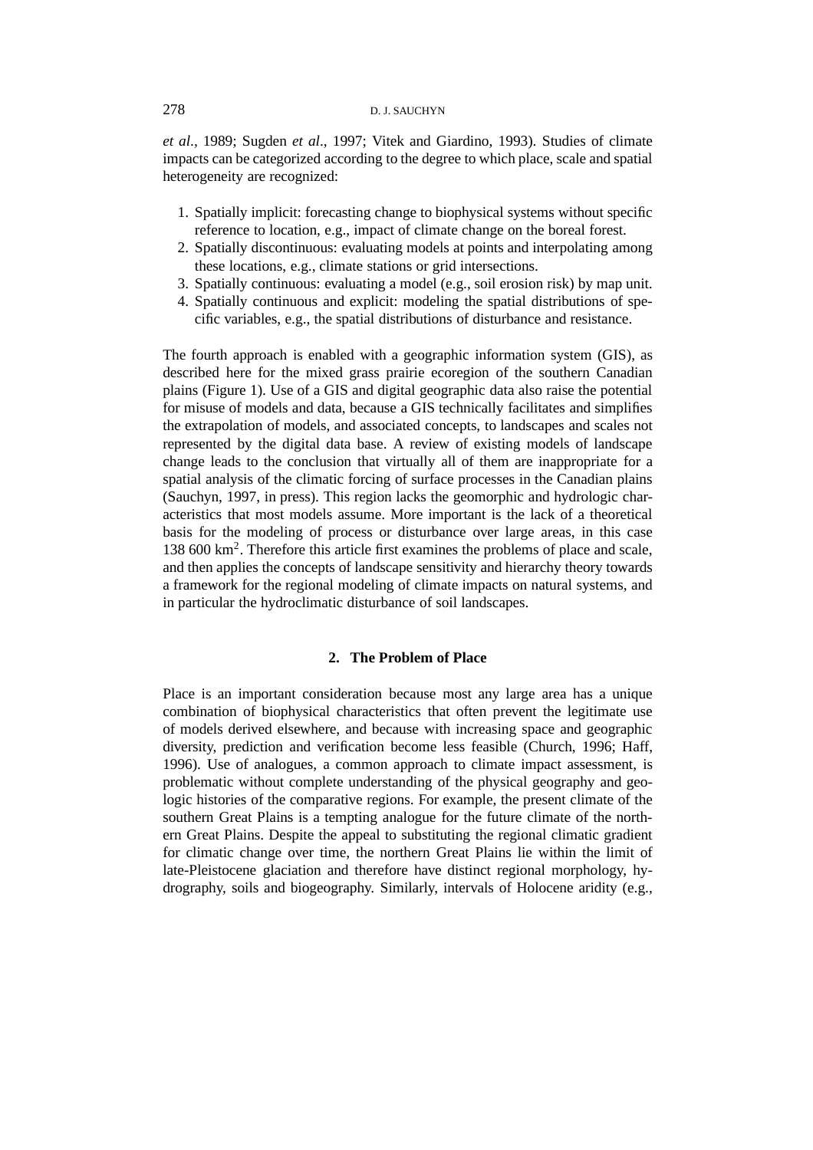*et al*., 1989; Sugden *et al*., 1997; Vitek and Giardino, 1993). Studies of climate impacts can be categorized according to the degree to which place, scale and spatial heterogeneity are recognized:

- 1. Spatially implicit: forecasting change to biophysical systems without specific reference to location, e.g., impact of climate change on the boreal forest.
- 2. Spatially discontinuous: evaluating models at points and interpolating among these locations, e.g., climate stations or grid intersections.
- 3. Spatially continuous: evaluating a model (e.g., soil erosion risk) by map unit.
- 4. Spatially continuous and explicit: modeling the spatial distributions of specific variables, e.g., the spatial distributions of disturbance and resistance.

The fourth approach is enabled with a geographic information system (GIS), as described here for the mixed grass prairie ecoregion of the southern Canadian plains (Figure 1). Use of a GIS and digital geographic data also raise the potential for misuse of models and data, because a GIS technically facilitates and simplifies the extrapolation of models, and associated concepts, to landscapes and scales not represented by the digital data base. A review of existing models of landscape change leads to the conclusion that virtually all of them are inappropriate for a spatial analysis of the climatic forcing of surface processes in the Canadian plains (Sauchyn, 1997, in press). This region lacks the geomorphic and hydrologic characteristics that most models assume. More important is the lack of a theoretical basis for the modeling of process or disturbance over large areas, in this case 138 600 km2. Therefore this article first examines the problems of place and scale, and then applies the concepts of landscape sensitivity and hierarchy theory towards a framework for the regional modeling of climate impacts on natural systems, and in particular the hydroclimatic disturbance of soil landscapes.

# **2. The Problem of Place**

Place is an important consideration because most any large area has a unique combination of biophysical characteristics that often prevent the legitimate use of models derived elsewhere, and because with increasing space and geographic diversity, prediction and verification become less feasible (Church, 1996; Haff, 1996). Use of analogues, a common approach to climate impact assessment, is problematic without complete understanding of the physical geography and geologic histories of the comparative regions. For example, the present climate of the southern Great Plains is a tempting analogue for the future climate of the northern Great Plains. Despite the appeal to substituting the regional climatic gradient for climatic change over time, the northern Great Plains lie within the limit of late-Pleistocene glaciation and therefore have distinct regional morphology, hydrography, soils and biogeography. Similarly, intervals of Holocene aridity (e.g.,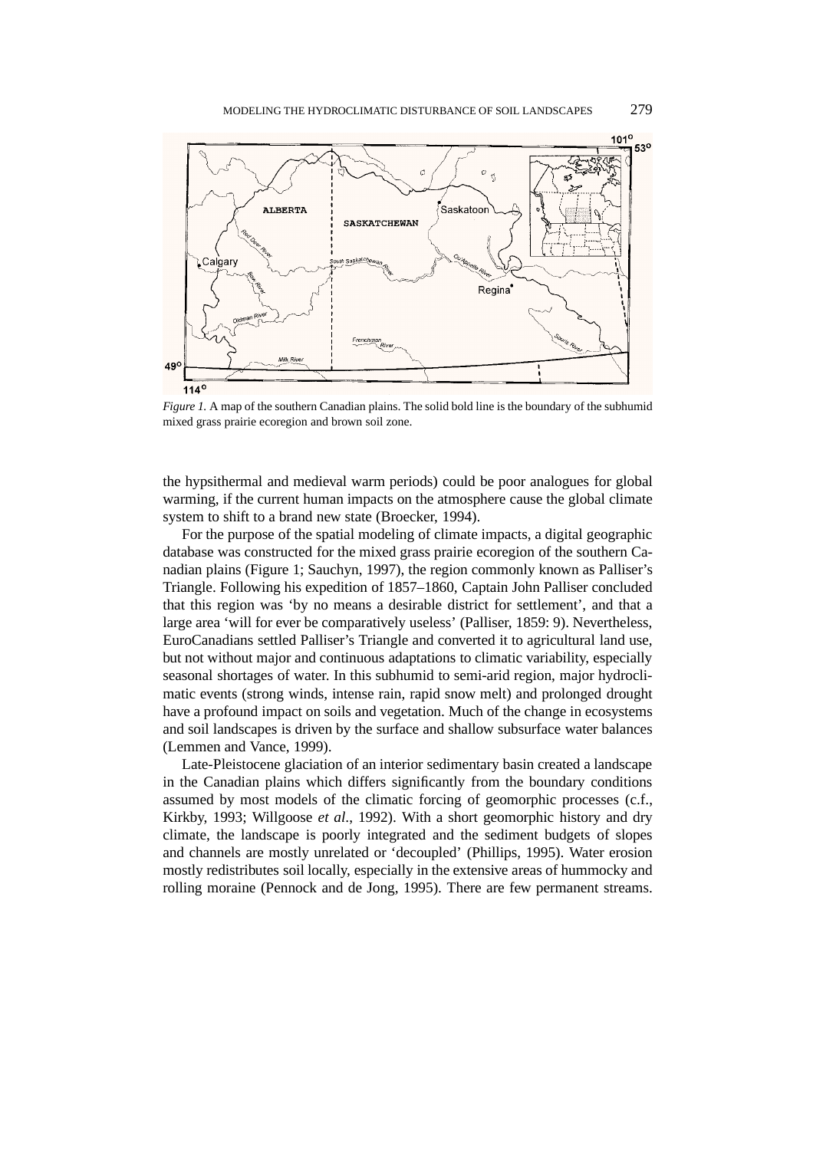

*Figure 1.* A map of the southern Canadian plains. The solid bold line is the boundary of the subhumid mixed grass prairie ecoregion and brown soil zone.

the hypsithermal and medieval warm periods) could be poor analogues for global warming, if the current human impacts on the atmosphere cause the global climate system to shift to a brand new state (Broecker, 1994).

For the purpose of the spatial modeling of climate impacts, a digital geographic database was constructed for the mixed grass prairie ecoregion of the southern Canadian plains (Figure 1; Sauchyn, 1997), the region commonly known as Palliser's Triangle. Following his expedition of 1857–1860, Captain John Palliser concluded that this region was 'by no means a desirable district for settlement', and that a large area 'will for ever be comparatively useless' (Palliser, 1859: 9). Nevertheless, EuroCanadians settled Palliser's Triangle and converted it to agricultural land use, but not without major and continuous adaptations to climatic variability, especially seasonal shortages of water. In this subhumid to semi-arid region, major hydroclimatic events (strong winds, intense rain, rapid snow melt) and prolonged drought have a profound impact on soils and vegetation. Much of the change in ecosystems and soil landscapes is driven by the surface and shallow subsurface water balances (Lemmen and Vance, 1999).

Late-Pleistocene glaciation of an interior sedimentary basin created a landscape in the Canadian plains which differs significantly from the boundary conditions assumed by most models of the climatic forcing of geomorphic processes (c.f., Kirkby, 1993; Willgoose *et al*., 1992). With a short geomorphic history and dry climate, the landscape is poorly integrated and the sediment budgets of slopes and channels are mostly unrelated or 'decoupled' (Phillips, 1995). Water erosion mostly redistributes soil locally, especially in the extensive areas of hummocky and rolling moraine (Pennock and de Jong, 1995). There are few permanent streams.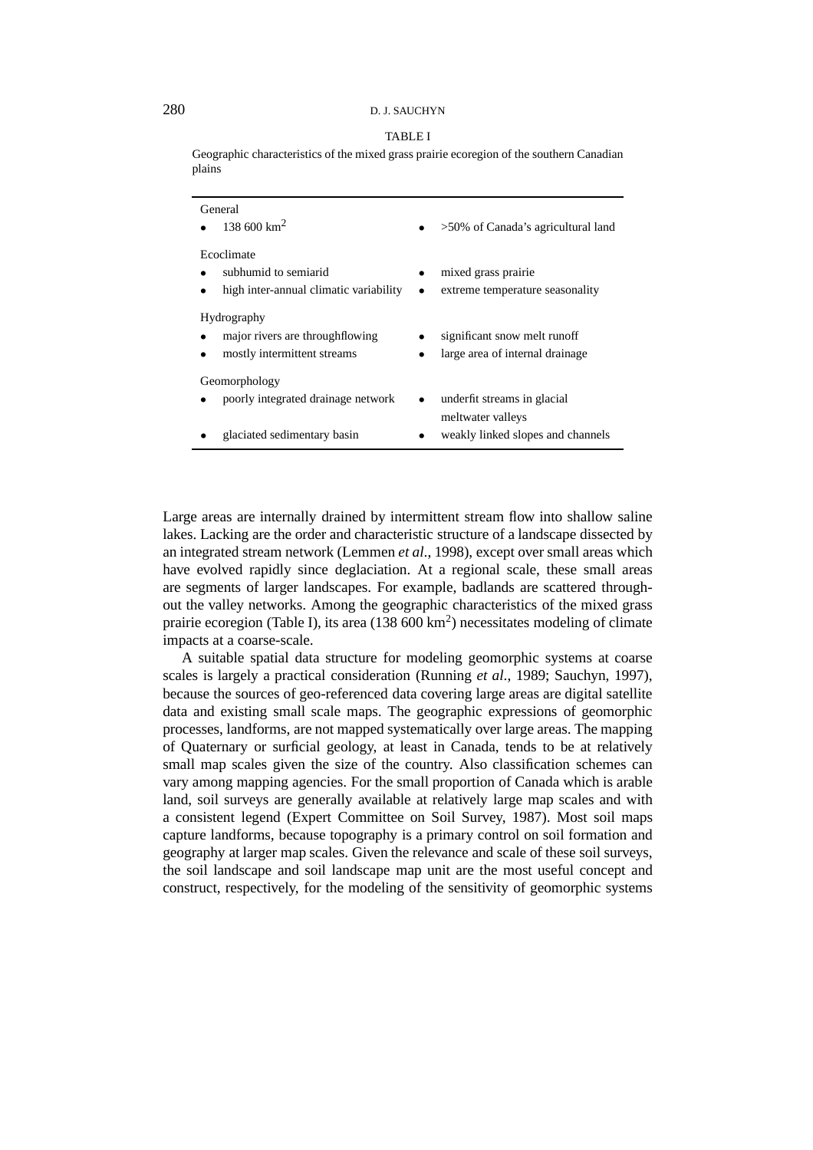#### TABLE I

Geographic characteristics of the mixed grass prairie ecoregion of the southern Canadian plains

| General                                                                       | >50% of Canada's agricultural land                                               |
|-------------------------------------------------------------------------------|----------------------------------------------------------------------------------|
| 138.600 km <sup>2</sup>                                                       | $\bullet$                                                                        |
| Ecoclimate<br>subhumid to semiarid<br>high inter-annual climatic variability  | mixed grass prairie<br>$\bullet$<br>extreme temperature seasonality<br>$\bullet$ |
| Hydrography<br>major rivers are throughflowing<br>mostly intermittent streams | significant snow melt runoff<br>large area of internal drainage                  |
| Geomorphology                                                                 | underfit streams in glacial                                                      |
| poorly integrated drainage network                                            | meltwater valleys                                                                |
| glaciated sedimentary basin                                                   | weakly linked slopes and channels                                                |

Large areas are internally drained by intermittent stream flow into shallow saline lakes. Lacking are the order and characteristic structure of a landscape dissected by an integrated stream network (Lemmen *et al*., 1998), except over small areas which have evolved rapidly since deglaciation. At a regional scale, these small areas are segments of larger landscapes. For example, badlands are scattered throughout the valley networks. Among the geographic characteristics of the mixed grass prairie ecoregion (Table I), its area  $(138\,600\,\mathrm{km^2})$  necessitates modeling of climate impacts at a coarse-scale.

A suitable spatial data structure for modeling geomorphic systems at coarse scales is largely a practical consideration (Running *et al*., 1989; Sauchyn, 1997), because the sources of geo-referenced data covering large areas are digital satellite data and existing small scale maps. The geographic expressions of geomorphic processes, landforms, are not mapped systematically over large areas. The mapping of Quaternary or surficial geology, at least in Canada, tends to be at relatively small map scales given the size of the country. Also classification schemes can vary among mapping agencies. For the small proportion of Canada which is arable land, soil surveys are generally available at relatively large map scales and with a consistent legend (Expert Committee on Soil Survey, 1987). Most soil maps capture landforms, because topography is a primary control on soil formation and geography at larger map scales. Given the relevance and scale of these soil surveys, the soil landscape and soil landscape map unit are the most useful concept and construct, respectively, for the modeling of the sensitivity of geomorphic systems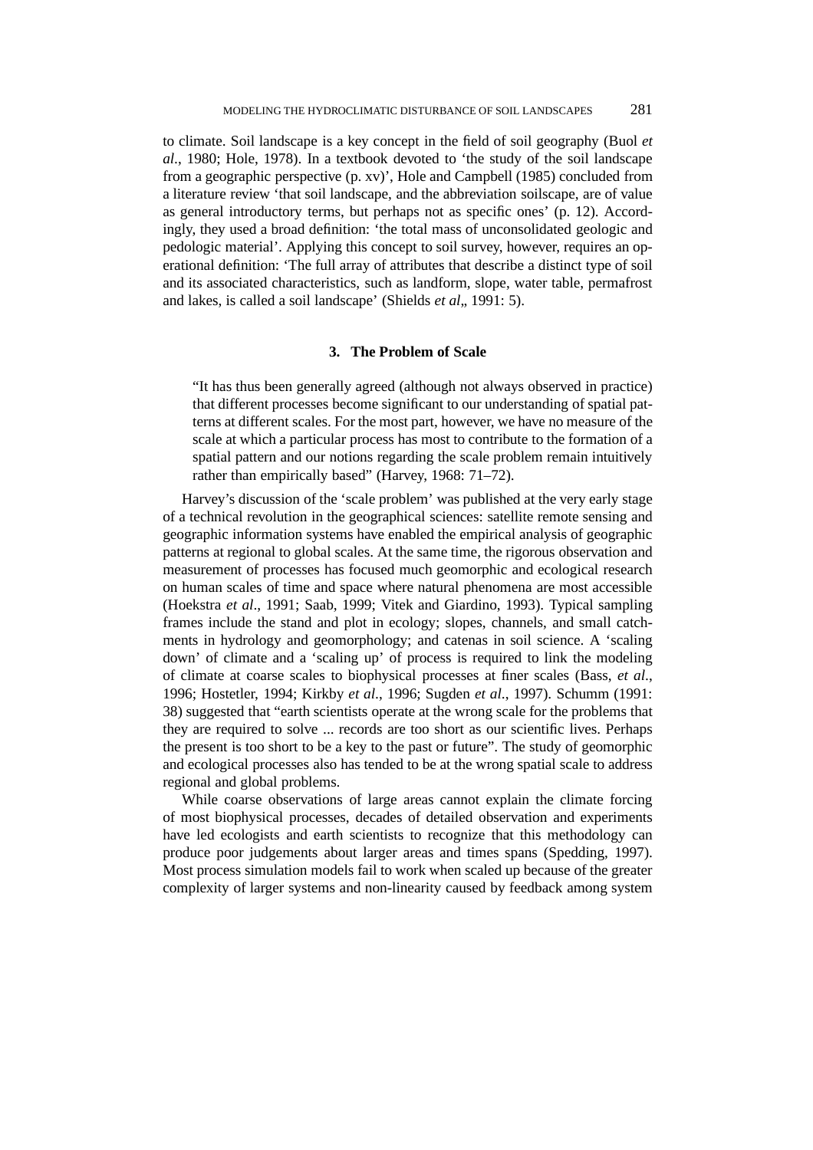to climate. Soil landscape is a key concept in the field of soil geography (Buol *et al*., 1980; Hole, 1978). In a textbook devoted to 'the study of the soil landscape from a geographic perspective (p. xv)', Hole and Campbell (1985) concluded from a literature review 'that soil landscape, and the abbreviation soilscape, are of value as general introductory terms, but perhaps not as specific ones' (p. 12). Accordingly, they used a broad definition: 'the total mass of unconsolidated geologic and pedologic material'. Applying this concept to soil survey, however, requires an operational definition: 'The full array of attributes that describe a distinct type of soil and its associated characteristics, such as landform, slope, water table, permafrost and lakes, is called a soil landscape' (Shields *et al.*, 1991: 5).

## **3. The Problem of Scale**

"It has thus been generally agreed (although not always observed in practice) that different processes become significant to our understanding of spatial patterns at different scales. For the most part, however, we have no measure of the scale at which a particular process has most to contribute to the formation of a spatial pattern and our notions regarding the scale problem remain intuitively rather than empirically based" (Harvey, 1968: 71–72).

Harvey's discussion of the 'scale problem' was published at the very early stage of a technical revolution in the geographical sciences: satellite remote sensing and geographic information systems have enabled the empirical analysis of geographic patterns at regional to global scales. At the same time, the rigorous observation and measurement of processes has focused much geomorphic and ecological research on human scales of time and space where natural phenomena are most accessible (Hoekstra *et al*., 1991; Saab, 1999; Vitek and Giardino, 1993). Typical sampling frames include the stand and plot in ecology; slopes, channels, and small catchments in hydrology and geomorphology; and catenas in soil science. A 'scaling down' of climate and a 'scaling up' of process is required to link the modeling of climate at coarse scales to biophysical processes at finer scales (Bass, *et al*., 1996; Hostetler, 1994; Kirkby *et al*., 1996; Sugden *et al*., 1997). Schumm (1991: 38) suggested that "earth scientists operate at the wrong scale for the problems that they are required to solve ... records are too short as our scientific lives. Perhaps the present is too short to be a key to the past or future". The study of geomorphic and ecological processes also has tended to be at the wrong spatial scale to address regional and global problems.

While coarse observations of large areas cannot explain the climate forcing of most biophysical processes, decades of detailed observation and experiments have led ecologists and earth scientists to recognize that this methodology can produce poor judgements about larger areas and times spans (Spedding, 1997). Most process simulation models fail to work when scaled up because of the greater complexity of larger systems and non-linearity caused by feedback among system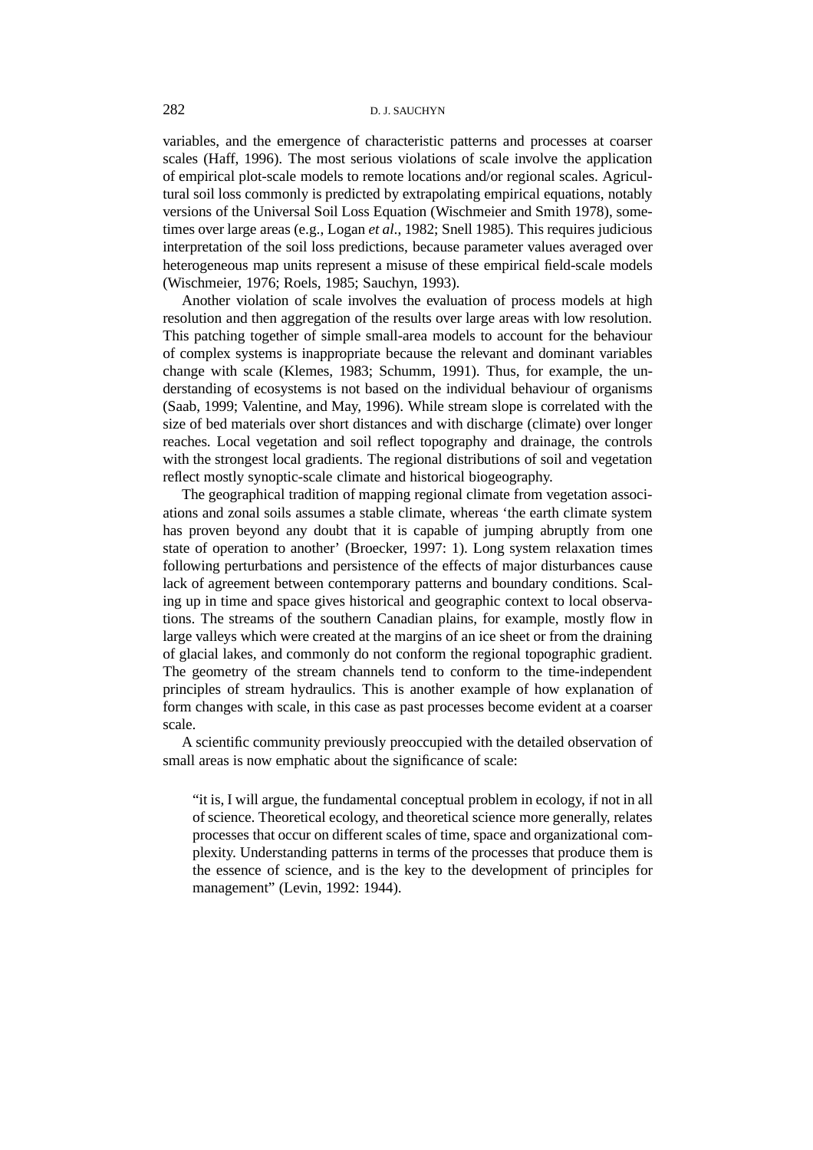variables, and the emergence of characteristic patterns and processes at coarser scales (Haff, 1996). The most serious violations of scale involve the application of empirical plot-scale models to remote locations and/or regional scales. Agricultural soil loss commonly is predicted by extrapolating empirical equations, notably versions of the Universal Soil Loss Equation (Wischmeier and Smith 1978), sometimes over large areas (e.g., Logan *et al*., 1982; Snell 1985). This requires judicious interpretation of the soil loss predictions, because parameter values averaged over heterogeneous map units represent a misuse of these empirical field-scale models (Wischmeier, 1976; Roels, 1985; Sauchyn, 1993).

Another violation of scale involves the evaluation of process models at high resolution and then aggregation of the results over large areas with low resolution. This patching together of simple small-area models to account for the behaviour of complex systems is inappropriate because the relevant and dominant variables change with scale (Klemes, 1983; Schumm, 1991). Thus, for example, the understanding of ecosystems is not based on the individual behaviour of organisms (Saab, 1999; Valentine, and May, 1996). While stream slope is correlated with the size of bed materials over short distances and with discharge (climate) over longer reaches. Local vegetation and soil reflect topography and drainage, the controls with the strongest local gradients. The regional distributions of soil and vegetation reflect mostly synoptic-scale climate and historical biogeography.

The geographical tradition of mapping regional climate from vegetation associations and zonal soils assumes a stable climate, whereas 'the earth climate system has proven beyond any doubt that it is capable of jumping abruptly from one state of operation to another' (Broecker, 1997: 1). Long system relaxation times following perturbations and persistence of the effects of major disturbances cause lack of agreement between contemporary patterns and boundary conditions. Scaling up in time and space gives historical and geographic context to local observations. The streams of the southern Canadian plains, for example, mostly flow in large valleys which were created at the margins of an ice sheet or from the draining of glacial lakes, and commonly do not conform the regional topographic gradient. The geometry of the stream channels tend to conform to the time-independent principles of stream hydraulics. This is another example of how explanation of form changes with scale, in this case as past processes become evident at a coarser scale.

A scientific community previously preoccupied with the detailed observation of small areas is now emphatic about the significance of scale:

"it is, I will argue, the fundamental conceptual problem in ecology, if not in all of science. Theoretical ecology, and theoretical science more generally, relates processes that occur on different scales of time, space and organizational complexity. Understanding patterns in terms of the processes that produce them is the essence of science, and is the key to the development of principles for management" (Levin, 1992: 1944).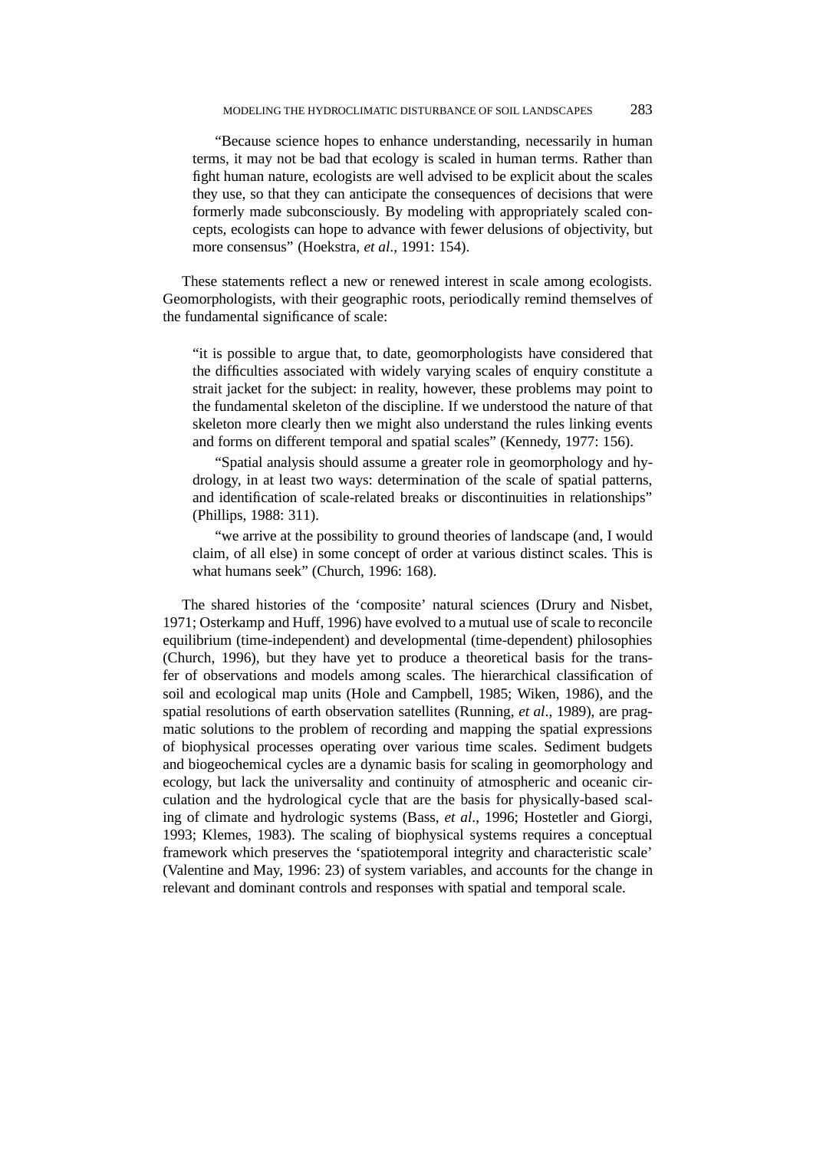"Because science hopes to enhance understanding, necessarily in human terms, it may not be bad that ecology is scaled in human terms. Rather than fight human nature, ecologists are well advised to be explicit about the scales they use, so that they can anticipate the consequences of decisions that were formerly made subconsciously. By modeling with appropriately scaled concepts, ecologists can hope to advance with fewer delusions of objectivity, but more consensus" (Hoekstra, *et al*., 1991: 154).

These statements reflect a new or renewed interest in scale among ecologists. Geomorphologists, with their geographic roots, periodically remind themselves of the fundamental significance of scale:

"it is possible to argue that, to date, geomorphologists have considered that the difficulties associated with widely varying scales of enquiry constitute a strait jacket for the subject: in reality, however, these problems may point to the fundamental skeleton of the discipline. If we understood the nature of that skeleton more clearly then we might also understand the rules linking events and forms on different temporal and spatial scales" (Kennedy, 1977: 156).

"Spatial analysis should assume a greater role in geomorphology and hydrology, in at least two ways: determination of the scale of spatial patterns, and identification of scale-related breaks or discontinuities in relationships" (Phillips, 1988: 311).

"we arrive at the possibility to ground theories of landscape (and, I would claim, of all else) in some concept of order at various distinct scales. This is what humans seek" (Church, 1996: 168).

The shared histories of the 'composite' natural sciences (Drury and Nisbet, 1971; Osterkamp and Huff, 1996) have evolved to a mutual use of scale to reconcile equilibrium (time-independent) and developmental (time-dependent) philosophies (Church, 1996), but they have yet to produce a theoretical basis for the transfer of observations and models among scales. The hierarchical classification of soil and ecological map units (Hole and Campbell, 1985; Wiken, 1986), and the spatial resolutions of earth observation satellites (Running, *et al*., 1989), are pragmatic solutions to the problem of recording and mapping the spatial expressions of biophysical processes operating over various time scales. Sediment budgets and biogeochemical cycles are a dynamic basis for scaling in geomorphology and ecology, but lack the universality and continuity of atmospheric and oceanic circulation and the hydrological cycle that are the basis for physically-based scaling of climate and hydrologic systems (Bass, *et al*., 1996; Hostetler and Giorgi, 1993; Klemes, 1983). The scaling of biophysical systems requires a conceptual framework which preserves the 'spatiotemporal integrity and characteristic scale' (Valentine and May, 1996: 23) of system variables, and accounts for the change in relevant and dominant controls and responses with spatial and temporal scale.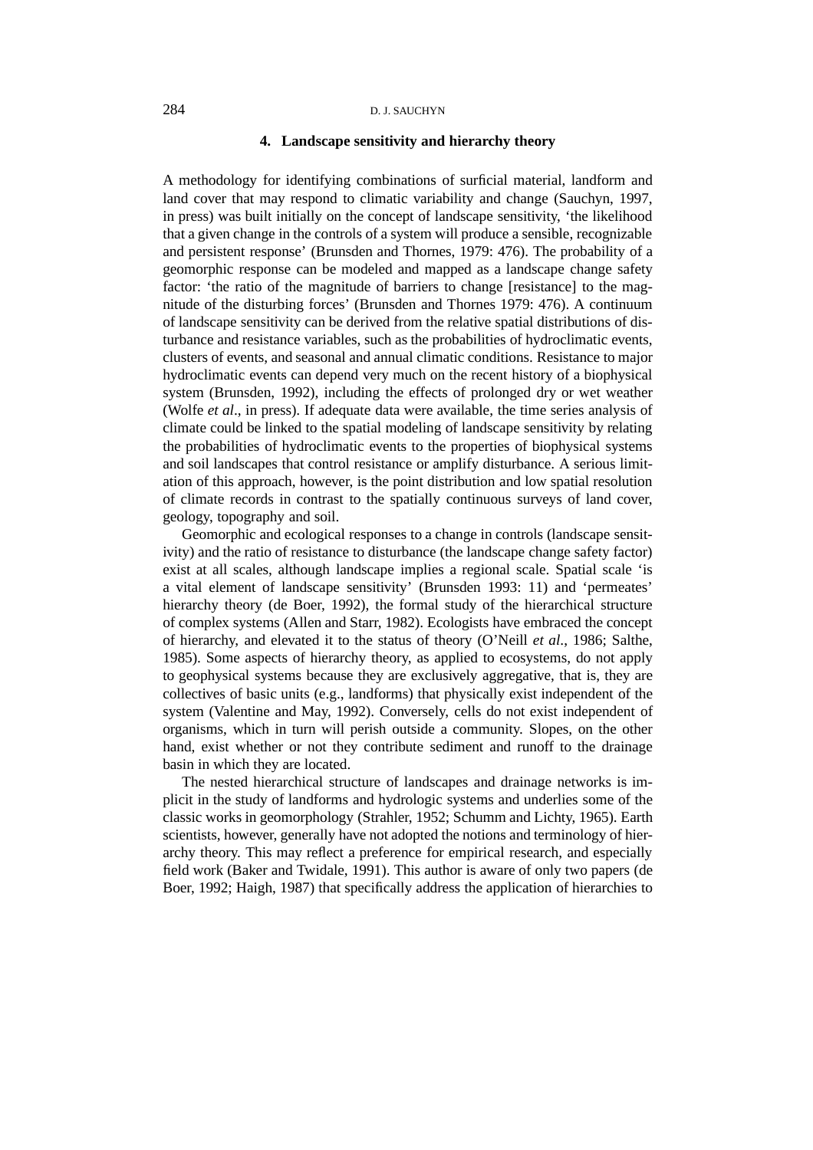# **4. Landscape sensitivity and hierarchy theory**

A methodology for identifying combinations of surficial material, landform and land cover that may respond to climatic variability and change (Sauchyn, 1997, in press) was built initially on the concept of landscape sensitivity, 'the likelihood that a given change in the controls of a system will produce a sensible, recognizable and persistent response' (Brunsden and Thornes, 1979: 476). The probability of a geomorphic response can be modeled and mapped as a landscape change safety factor: 'the ratio of the magnitude of barriers to change [resistance] to the magnitude of the disturbing forces' (Brunsden and Thornes 1979: 476). A continuum of landscape sensitivity can be derived from the relative spatial distributions of disturbance and resistance variables, such as the probabilities of hydroclimatic events, clusters of events, and seasonal and annual climatic conditions. Resistance to major hydroclimatic events can depend very much on the recent history of a biophysical system (Brunsden, 1992), including the effects of prolonged dry or wet weather (Wolfe *et al*., in press). If adequate data were available, the time series analysis of climate could be linked to the spatial modeling of landscape sensitivity by relating the probabilities of hydroclimatic events to the properties of biophysical systems and soil landscapes that control resistance or amplify disturbance. A serious limitation of this approach, however, is the point distribution and low spatial resolution of climate records in contrast to the spatially continuous surveys of land cover, geology, topography and soil.

Geomorphic and ecological responses to a change in controls (landscape sensitivity) and the ratio of resistance to disturbance (the landscape change safety factor) exist at all scales, although landscape implies a regional scale. Spatial scale 'is a vital element of landscape sensitivity' (Brunsden 1993: 11) and 'permeates' hierarchy theory (de Boer, 1992), the formal study of the hierarchical structure of complex systems (Allen and Starr, 1982). Ecologists have embraced the concept of hierarchy, and elevated it to the status of theory (O'Neill *et al*., 1986; Salthe, 1985). Some aspects of hierarchy theory, as applied to ecosystems, do not apply to geophysical systems because they are exclusively aggregative, that is, they are collectives of basic units (e.g., landforms) that physically exist independent of the system (Valentine and May, 1992). Conversely, cells do not exist independent of organisms, which in turn will perish outside a community. Slopes, on the other hand, exist whether or not they contribute sediment and runoff to the drainage basin in which they are located.

The nested hierarchical structure of landscapes and drainage networks is implicit in the study of landforms and hydrologic systems and underlies some of the classic works in geomorphology (Strahler, 1952; Schumm and Lichty, 1965). Earth scientists, however, generally have not adopted the notions and terminology of hierarchy theory. This may reflect a preference for empirical research, and especially field work (Baker and Twidale, 1991). This author is aware of only two papers (de Boer, 1992; Haigh, 1987) that specifically address the application of hierarchies to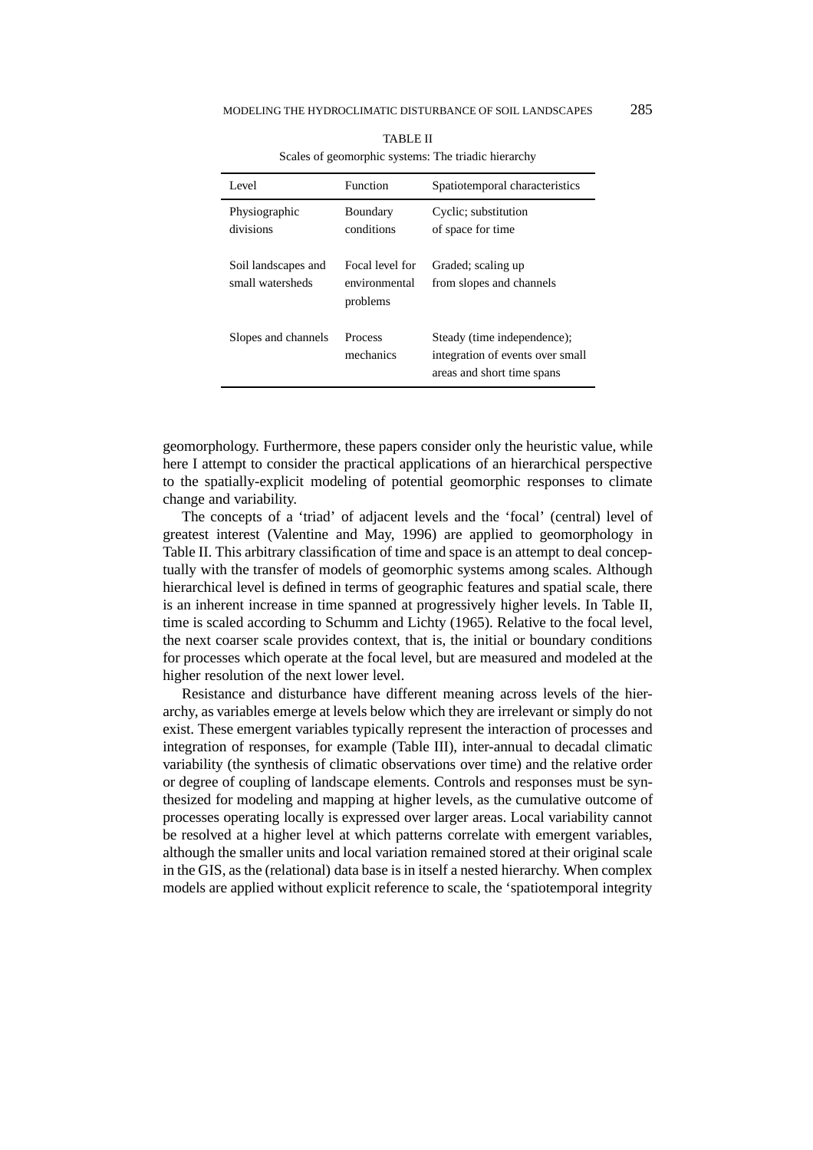| Level                                   | Function                                     | Spatiotemporal characteristics                                                                |
|-----------------------------------------|----------------------------------------------|-----------------------------------------------------------------------------------------------|
| Physiographic<br>divisions              | Boundary<br>conditions                       | Cyclic; substitution<br>of space for time                                                     |
| Soil landscapes and<br>small watersheds | Focal level for<br>environmental<br>problems | Graded; scaling up<br>from slopes and channels                                                |
| Slopes and channels                     | <b>Process</b><br>mechanics                  | Steady (time independence);<br>integration of events over small<br>areas and short time spans |

TABLE II Scales of geomorphic systems: The triadic hierarchy

geomorphology. Furthermore, these papers consider only the heuristic value, while here I attempt to consider the practical applications of an hierarchical perspective to the spatially-explicit modeling of potential geomorphic responses to climate change and variability.

The concepts of a 'triad' of adjacent levels and the 'focal' (central) level of greatest interest (Valentine and May, 1996) are applied to geomorphology in Table II. This arbitrary classification of time and space is an attempt to deal conceptually with the transfer of models of geomorphic systems among scales. Although hierarchical level is defined in terms of geographic features and spatial scale, there is an inherent increase in time spanned at progressively higher levels. In Table II, time is scaled according to Schumm and Lichty (1965). Relative to the focal level, the next coarser scale provides context, that is, the initial or boundary conditions for processes which operate at the focal level, but are measured and modeled at the higher resolution of the next lower level.

Resistance and disturbance have different meaning across levels of the hierarchy, as variables emerge at levels below which they are irrelevant or simply do not exist. These emergent variables typically represent the interaction of processes and integration of responses, for example (Table III), inter-annual to decadal climatic variability (the synthesis of climatic observations over time) and the relative order or degree of coupling of landscape elements. Controls and responses must be synthesized for modeling and mapping at higher levels, as the cumulative outcome of processes operating locally is expressed over larger areas. Local variability cannot be resolved at a higher level at which patterns correlate with emergent variables, although the smaller units and local variation remained stored at their original scale in the GIS, as the (relational) data base is in itself a nested hierarchy. When complex models are applied without explicit reference to scale, the 'spatiotemporal integrity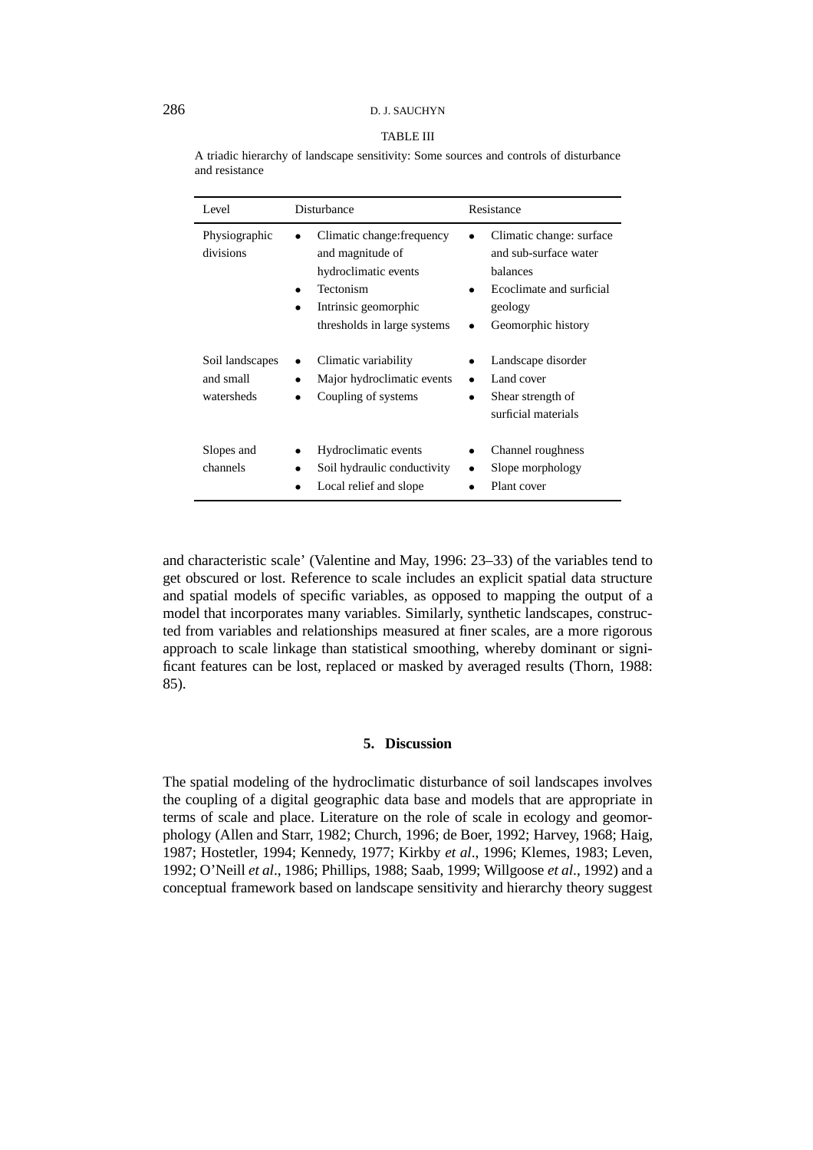#### TABLE III

A triadic hierarchy of landscape sensitivity: Some sources and controls of disturbance and resistance

| Level                                      | Disturbance                                                                                                                                | Resistance                                                                                                                 |
|--------------------------------------------|--------------------------------------------------------------------------------------------------------------------------------------------|----------------------------------------------------------------------------------------------------------------------------|
| Physiographic<br>divisions                 | Climatic change: frequency<br>and magnitude of<br>hydroclimatic events<br>Tectonism<br>Intrinsic geomorphic<br>thresholds in large systems | Climatic change: surface<br>and sub-surface water<br>balances<br>Ecoclimate and surficial<br>geology<br>Geomorphic history |
| Soil landscapes<br>and small<br>watersheds | Climatic variability<br>Major hydroclimatic events<br>Coupling of systems                                                                  | Landscape disorder<br>Land cover<br>Shear strength of<br>surficial materials                                               |
| Slopes and<br>channels                     | Hydroclimatic events<br>Soil hydraulic conductivity<br>Local relief and slope                                                              | Channel roughness<br>Slope morphology<br>Plant cover                                                                       |

and characteristic scale' (Valentine and May, 1996: 23–33) of the variables tend to get obscured or lost. Reference to scale includes an explicit spatial data structure and spatial models of specific variables, as opposed to mapping the output of a model that incorporates many variables. Similarly, synthetic landscapes, constructed from variables and relationships measured at finer scales, are a more rigorous approach to scale linkage than statistical smoothing, whereby dominant or significant features can be lost, replaced or masked by averaged results (Thorn, 1988: 85).

## **5. Discussion**

The spatial modeling of the hydroclimatic disturbance of soil landscapes involves the coupling of a digital geographic data base and models that are appropriate in terms of scale and place. Literature on the role of scale in ecology and geomorphology (Allen and Starr, 1982; Church, 1996; de Boer, 1992; Harvey, 1968; Haig, 1987; Hostetler, 1994; Kennedy, 1977; Kirkby *et al*., 1996; Klemes, 1983; Leven, 1992; O'Neill *et al*., 1986; Phillips, 1988; Saab, 1999; Willgoose *et al*., 1992) and a conceptual framework based on landscape sensitivity and hierarchy theory suggest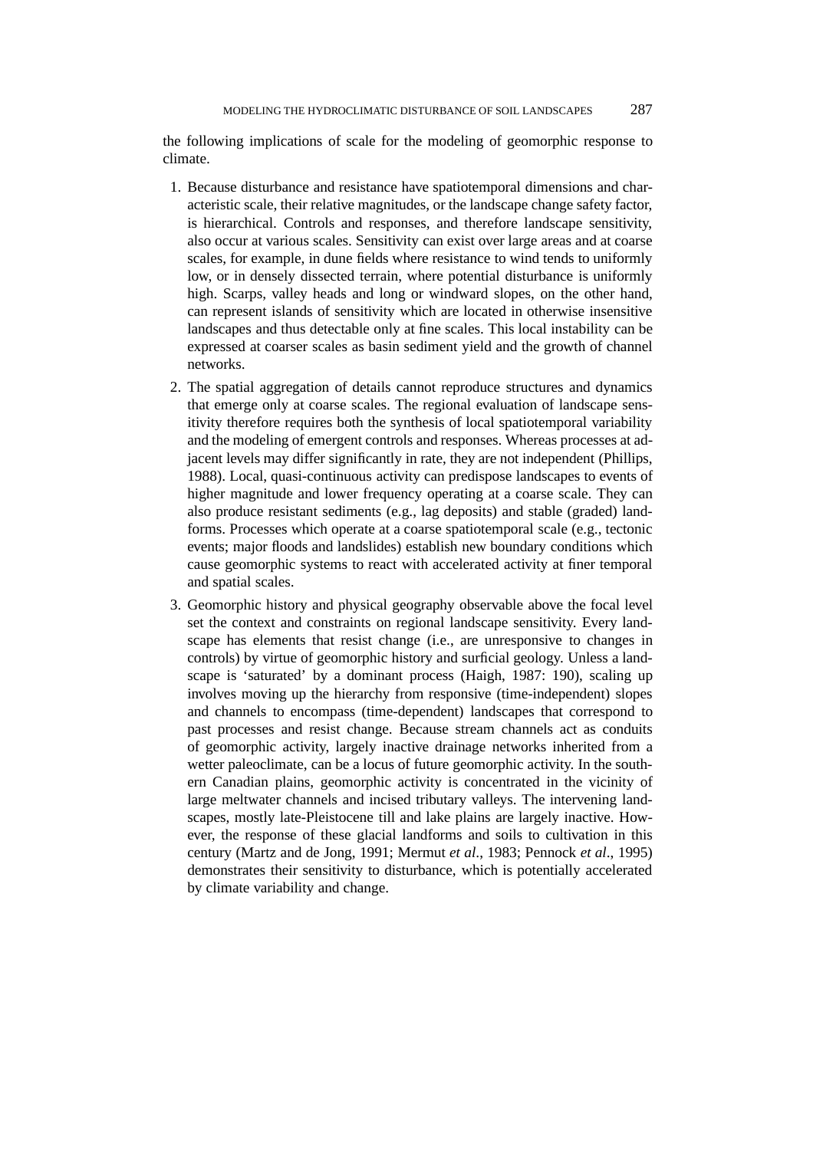the following implications of scale for the modeling of geomorphic response to climate.

- 1. Because disturbance and resistance have spatiotemporal dimensions and characteristic scale, their relative magnitudes, or the landscape change safety factor, is hierarchical. Controls and responses, and therefore landscape sensitivity, also occur at various scales. Sensitivity can exist over large areas and at coarse scales, for example, in dune fields where resistance to wind tends to uniformly low, or in densely dissected terrain, where potential disturbance is uniformly high. Scarps, valley heads and long or windward slopes, on the other hand, can represent islands of sensitivity which are located in otherwise insensitive landscapes and thus detectable only at fine scales. This local instability can be expressed at coarser scales as basin sediment yield and the growth of channel networks.
- 2. The spatial aggregation of details cannot reproduce structures and dynamics that emerge only at coarse scales. The regional evaluation of landscape sensitivity therefore requires both the synthesis of local spatiotemporal variability and the modeling of emergent controls and responses. Whereas processes at adjacent levels may differ significantly in rate, they are not independent (Phillips, 1988). Local, quasi-continuous activity can predispose landscapes to events of higher magnitude and lower frequency operating at a coarse scale. They can also produce resistant sediments (e.g., lag deposits) and stable (graded) landforms. Processes which operate at a coarse spatiotemporal scale (e.g., tectonic events; major floods and landslides) establish new boundary conditions which cause geomorphic systems to react with accelerated activity at finer temporal and spatial scales.
- 3. Geomorphic history and physical geography observable above the focal level set the context and constraints on regional landscape sensitivity. Every landscape has elements that resist change (i.e., are unresponsive to changes in controls) by virtue of geomorphic history and surficial geology. Unless a landscape is 'saturated' by a dominant process (Haigh, 1987: 190), scaling up involves moving up the hierarchy from responsive (time-independent) slopes and channels to encompass (time-dependent) landscapes that correspond to past processes and resist change. Because stream channels act as conduits of geomorphic activity, largely inactive drainage networks inherited from a wetter paleoclimate, can be a locus of future geomorphic activity. In the southern Canadian plains, geomorphic activity is concentrated in the vicinity of large meltwater channels and incised tributary valleys. The intervening landscapes, mostly late-Pleistocene till and lake plains are largely inactive. However, the response of these glacial landforms and soils to cultivation in this century (Martz and de Jong, 1991; Mermut *et al*., 1983; Pennock *et al*., 1995) demonstrates their sensitivity to disturbance, which is potentially accelerated by climate variability and change.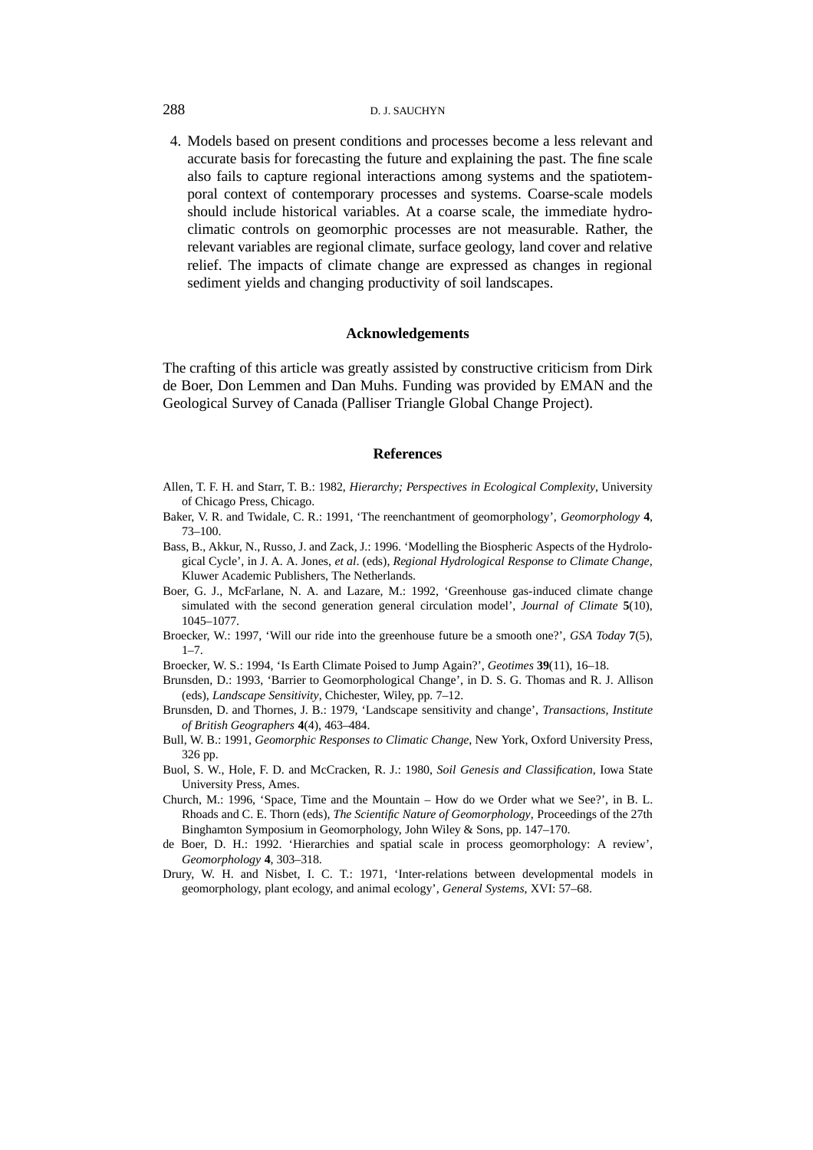4. Models based on present conditions and processes become a less relevant and accurate basis for forecasting the future and explaining the past. The fine scale also fails to capture regional interactions among systems and the spatiotemporal context of contemporary processes and systems. Coarse-scale models should include historical variables. At a coarse scale, the immediate hydroclimatic controls on geomorphic processes are not measurable. Rather, the relevant variables are regional climate, surface geology, land cover and relative relief. The impacts of climate change are expressed as changes in regional sediment yields and changing productivity of soil landscapes.

### **Acknowledgements**

The crafting of this article was greatly assisted by constructive criticism from Dirk de Boer, Don Lemmen and Dan Muhs. Funding was provided by EMAN and the Geological Survey of Canada (Palliser Triangle Global Change Project).

### **References**

- Allen, T. F. H. and Starr, T. B.: 1982, *Hierarchy; Perspectives in Ecological Complexity*, University of Chicago Press, Chicago.
- Baker, V. R. and Twidale, C. R.: 1991, 'The reenchantment of geomorphology', *Geomorphology* **4**, 73–100.
- Bass, B., Akkur, N., Russo, J. and Zack, J.: 1996. 'Modelling the Biospheric Aspects of the Hydrological Cycle', in J. A. A. Jones, *et al*. (eds), *Regional Hydrological Response to Climate Change*, Kluwer Academic Publishers, The Netherlands.
- Boer, G. J., McFarlane, N. A. and Lazare, M.: 1992, 'Greenhouse gas-induced climate change simulated with the second generation general circulation model', *Journal of Climate* **5**(10), 1045–1077.
- Broecker, W.: 1997, 'Will our ride into the greenhouse future be a smooth one?', *GSA Today* **7**(5),  $1 - 7$ .
- Broecker, W. S.: 1994, 'Is Earth Climate Poised to Jump Again?', *Geotimes* **39**(11), 16–18.
- Brunsden, D.: 1993, 'Barrier to Geomorphological Change', in D. S. G. Thomas and R. J. Allison (eds), *Landscape Sensitivity*, Chichester, Wiley, pp. 7–12.
- Brunsden, D. and Thornes, J. B.: 1979, 'Landscape sensitivity and change', *Transactions, Institute of British Geographers* **4**(4), 463–484.
- Bull, W. B.: 1991, *Geomorphic Responses to Climatic Change*, New York, Oxford University Press, 326 pp.
- Buol, S. W., Hole, F. D. and McCracken, R. J.: 1980, *Soil Genesis and Classification*, Iowa State University Press, Ames.
- Church, M.: 1996, 'Space, Time and the Mountain How do we Order what we See?', in B. L. Rhoads and C. E. Thorn (eds), *The Scientific Nature of Geomorphology*, Proceedings of the 27th Binghamton Symposium in Geomorphology, John Wiley & Sons, pp. 147–170.
- de Boer, D. H.: 1992. 'Hierarchies and spatial scale in process geomorphology: A review', *Geomorphology* **4**, 303–318.
- Drury, W. H. and Nisbet, I. C. T.: 1971, 'Inter-relations between developmental models in geomorphology, plant ecology, and animal ecology', *General Systems*, XVI: 57–68.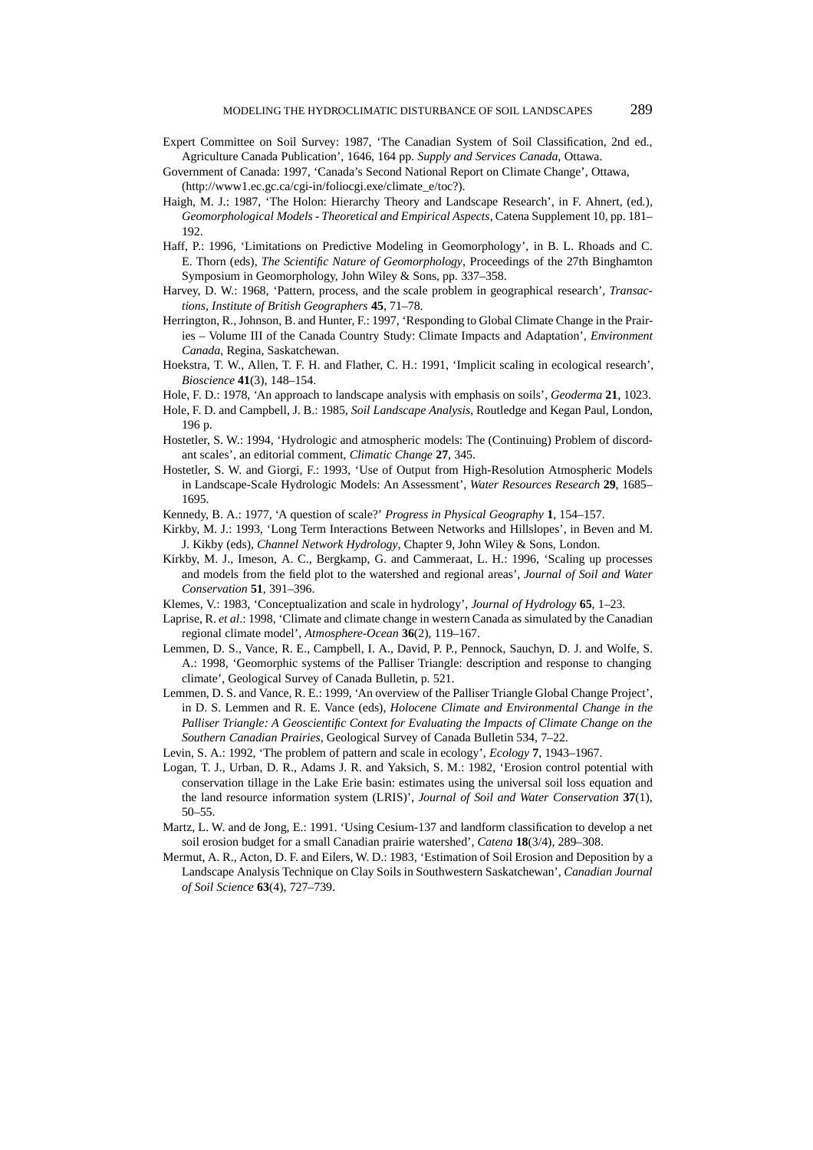- Expert Committee on Soil Survey: 1987, 'The Canadian System of Soil Classification, 2nd ed., Agriculture Canada Publication', 1646, 164 pp. *Supply and Services Canada*, Ottawa.
- Government of Canada: 1997, 'Canada's Second National Report on Climate Change', Ottawa, (http://www1.ec.gc.ca/cgi-in/foliocgi.exe/climate\_e/toc?).
- Haigh, M. J.: 1987, 'The Holon: Hierarchy Theory and Landscape Research', in F. Ahnert, (ed.), *Geomorphological Models - Theoretical and Empirical Aspects*, Catena Supplement 10, pp. 181– 192.
- Haff, P.: 1996, 'Limitations on Predictive Modeling in Geomorphology', in B. L. Rhoads and C. E. Thorn (eds), *The Scientific Nature of Geomorphology*, Proceedings of the 27th Binghamton Symposium in Geomorphology, John Wiley & Sons, pp. 337–358.
- Harvey, D. W.: 1968, 'Pattern, process, and the scale problem in geographical research', *Transactions, Institute of British Geographers* **45**, 71–78.
- Herrington, R., Johnson, B. and Hunter, F.: 1997, 'Responding to Global Climate Change in the Prairies – Volume III of the Canada Country Study: Climate Impacts and Adaptation', *Environment Canada*, Regina, Saskatchewan.
- Hoekstra, T. W., Allen, T. F. H. and Flather, C. H.: 1991, 'Implicit scaling in ecological research', *Bioscience* **41**(3), 148–154.
- Hole, F. D.: 1978, 'An approach to landscape analysis with emphasis on soils', *Geoderma* **21**, 1023.
- Hole, F. D. and Campbell, J. B.: 1985, *Soil Landscape Analysis*, Routledge and Kegan Paul, London, 196 p.
- Hostetler, S. W.: 1994, 'Hydrologic and atmospheric models: The (Continuing) Problem of discordant scales', an editorial comment, *Climatic Change* **27**, 345.
- Hostetler, S. W. and Giorgi, F.: 1993, 'Use of Output from High-Resolution Atmospheric Models in Landscape-Scale Hydrologic Models: An Assessment', *Water Resources Research* **29**, 1685– 1695.
- Kennedy, B. A.: 1977, 'A question of scale?' *Progress in Physical Geography* **1**, 154–157.
- Kirkby, M. J.: 1993, 'Long Term Interactions Between Networks and Hillslopes', in Beven and M. J. Kikby (eds), *Channel Network Hydrology*, Chapter 9, John Wiley & Sons, London.
- Kirkby, M. J., Imeson, A. C., Bergkamp, G. and Cammeraat, L. H.: 1996, 'Scaling up processes and models from the field plot to the watershed and regional areas', *Journal of Soil and Water Conservation* **51**, 391–396.
- Klemes, V.: 1983, 'Conceptualization and scale in hydrology', *Journal of Hydrology* **65**, 1–23.
- Laprise, R. *et al*.: 1998, 'Climate and climate change in western Canada as simulated by the Canadian regional climate model', *Atmosphere-Ocean* **36**(2), 119–167.
- Lemmen, D. S., Vance, R. E., Campbell, I. A., David, P. P., Pennock, Sauchyn, D. J. and Wolfe, S. A.: 1998, 'Geomorphic systems of the Palliser Triangle: description and response to changing climate', Geological Survey of Canada Bulletin, p. 521.
- Lemmen, D. S. and Vance, R. E.: 1999, 'An overview of the Palliser Triangle Global Change Project', in D. S. Lemmen and R. E. Vance (eds), *Holocene Climate and Environmental Change in the Palliser Triangle: A Geoscientific Context for Evaluating the Impacts of Climate Change on the Southern Canadian Prairies*, Geological Survey of Canada Bulletin 534, 7–22.
- Levin, S. A.: 1992, 'The problem of pattern and scale in ecology', *Ecology* **7**, 1943–1967.
- Logan, T. J., Urban, D. R., Adams J. R. and Yaksich, S. M.: 1982, 'Erosion control potential with conservation tillage in the Lake Erie basin: estimates using the universal soil loss equation and the land resource information system (LRIS)', *Journal of Soil and Water Conservation* **37**(1), 50–55.
- Martz, L. W. and de Jong, E.: 1991. 'Using Cesium-137 and landform classification to develop a net soil erosion budget for a small Canadian prairie watershed', *Catena* **18**(3/4), 289–308.
- Mermut, A. R., Acton, D. F. and Eilers, W. D.: 1983, 'Estimation of Soil Erosion and Deposition by a Landscape Analysis Technique on Clay Soils in Southwestern Saskatchewan', *Canadian Journal of Soil Science* **63**(4), 727–739.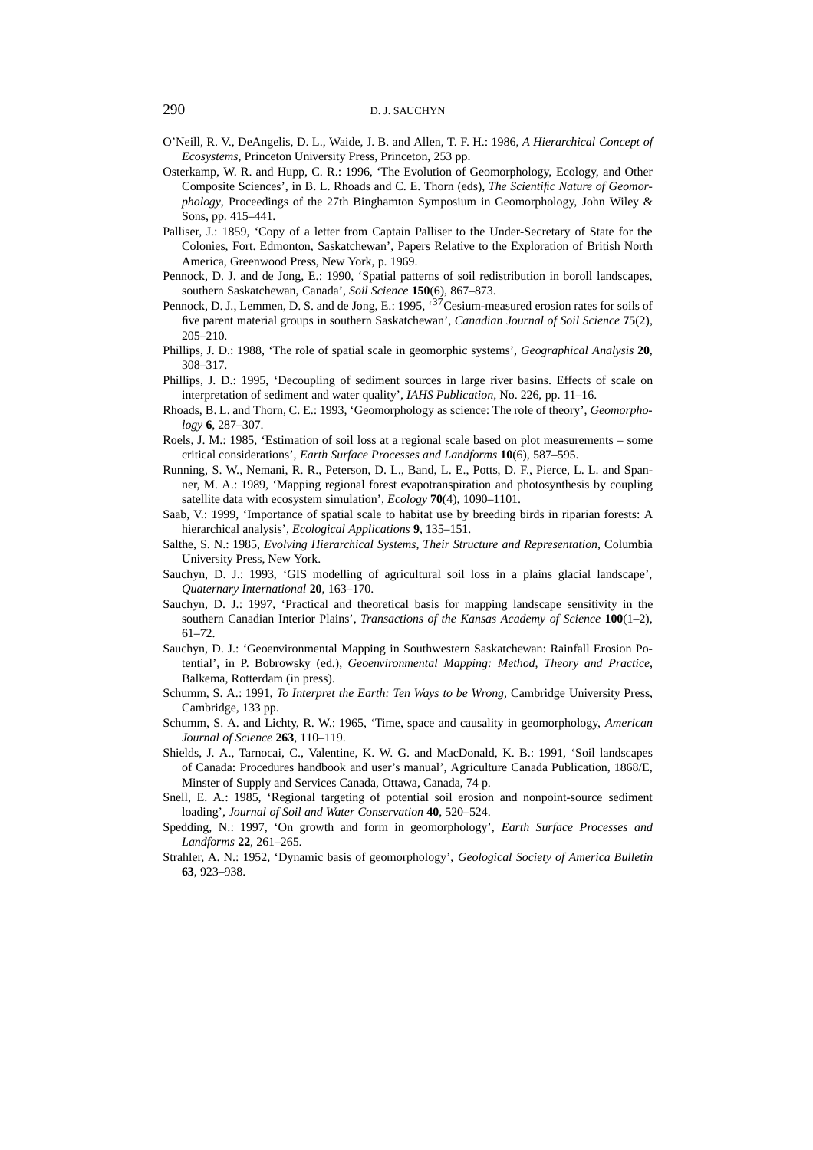- O'Neill, R. V., DeAngelis, D. L., Waide, J. B. and Allen, T. F. H.: 1986, *A Hierarchical Concept of Ecosystems*, Princeton University Press, Princeton, 253 pp.
- Osterkamp, W. R. and Hupp, C. R.: 1996, 'The Evolution of Geomorphology, Ecology, and Other Composite Sciences', in B. L. Rhoads and C. E. Thorn (eds), *The Scientific Nature of Geomorphology*, Proceedings of the 27th Binghamton Symposium in Geomorphology, John Wiley & Sons, pp. 415–441.
- Palliser, J.: 1859, 'Copy of a letter from Captain Palliser to the Under-Secretary of State for the Colonies, Fort. Edmonton, Saskatchewan', Papers Relative to the Exploration of British North America, Greenwood Press, New York, p. 1969.
- Pennock, D. J. and de Jong, E.: 1990, 'Spatial patterns of soil redistribution in boroll landscapes, southern Saskatchewan, Canada', *Soil Science* **150**(6), 867–873.
- Pennock, D. J., Lemmen, D. S. and de Jong, E.: 1995,  $37$ Cesium-measured erosion rates for soils of five parent material groups in southern Saskatchewan', *Canadian Journal of Soil Science* **75**(2), 205–210.
- Phillips, J. D.: 1988, 'The role of spatial scale in geomorphic systems', *Geographical Analysis* **20**, 308–317.
- Phillips, J. D.: 1995, 'Decoupling of sediment sources in large river basins. Effects of scale on interpretation of sediment and water quality', *IAHS Publication*, No. 226, pp. 11–16.
- Rhoads, B. L. and Thorn, C. E.: 1993, 'Geomorphology as science: The role of theory', *Geomorphology* **6**, 287–307.
- Roels, J. M.: 1985, 'Estimation of soil loss at a regional scale based on plot measurements some critical considerations', *Earth Surface Processes and Landforms* **10**(6), 587–595.
- Running, S. W., Nemani, R. R., Peterson, D. L., Band, L. E., Potts, D. F., Pierce, L. L. and Spanner, M. A.: 1989, 'Mapping regional forest evapotranspiration and photosynthesis by coupling satellite data with ecosystem simulation', *Ecology* **70**(4), 1090–1101.
- Saab, V.: 1999, 'Importance of spatial scale to habitat use by breeding birds in riparian forests: A hierarchical analysis', *Ecological Applications* **9**, 135–151.
- Salthe, S. N.: 1985, *Evolving Hierarchical Systems, Their Structure and Representation*, Columbia University Press, New York.
- Sauchyn, D. J.: 1993, 'GIS modelling of agricultural soil loss in a plains glacial landscape', *Quaternary International* **20**, 163–170.
- Sauchyn, D. J.: 1997, 'Practical and theoretical basis for mapping landscape sensitivity in the southern Canadian Interior Plains', *Transactions of the Kansas Academy of Science* **100**(1–2), 61–72.
- Sauchyn, D. J.: 'Geoenvironmental Mapping in Southwestern Saskatchewan: Rainfall Erosion Potential', in P. Bobrowsky (ed.), *Geoenvironmental Mapping: Method, Theory and Practice*, Balkema, Rotterdam (in press).
- Schumm, S. A.: 1991, *To Interpret the Earth: Ten Ways to be Wrong*, Cambridge University Press, Cambridge, 133 pp.
- Schumm, S. A. and Lichty, R. W.: 1965, 'Time, space and causality in geomorphology, *American Journal of Science* **263**, 110–119.
- Shields, J. A., Tarnocai, C., Valentine, K. W. G. and MacDonald, K. B.: 1991, 'Soil landscapes of Canada: Procedures handbook and user's manual', Agriculture Canada Publication, 1868/E, Minster of Supply and Services Canada, Ottawa, Canada, 74 p.
- Snell, E. A.: 1985, 'Regional targeting of potential soil erosion and nonpoint-source sediment loading', *Journal of Soil and Water Conservation* **40**, 520–524.
- Spedding, N.: 1997, 'On growth and form in geomorphology', *Earth Surface Processes and Landforms* **22**, 261–265.
- Strahler, A. N.: 1952, 'Dynamic basis of geomorphology', *Geological Society of America Bulletin* **63**, 923–938.